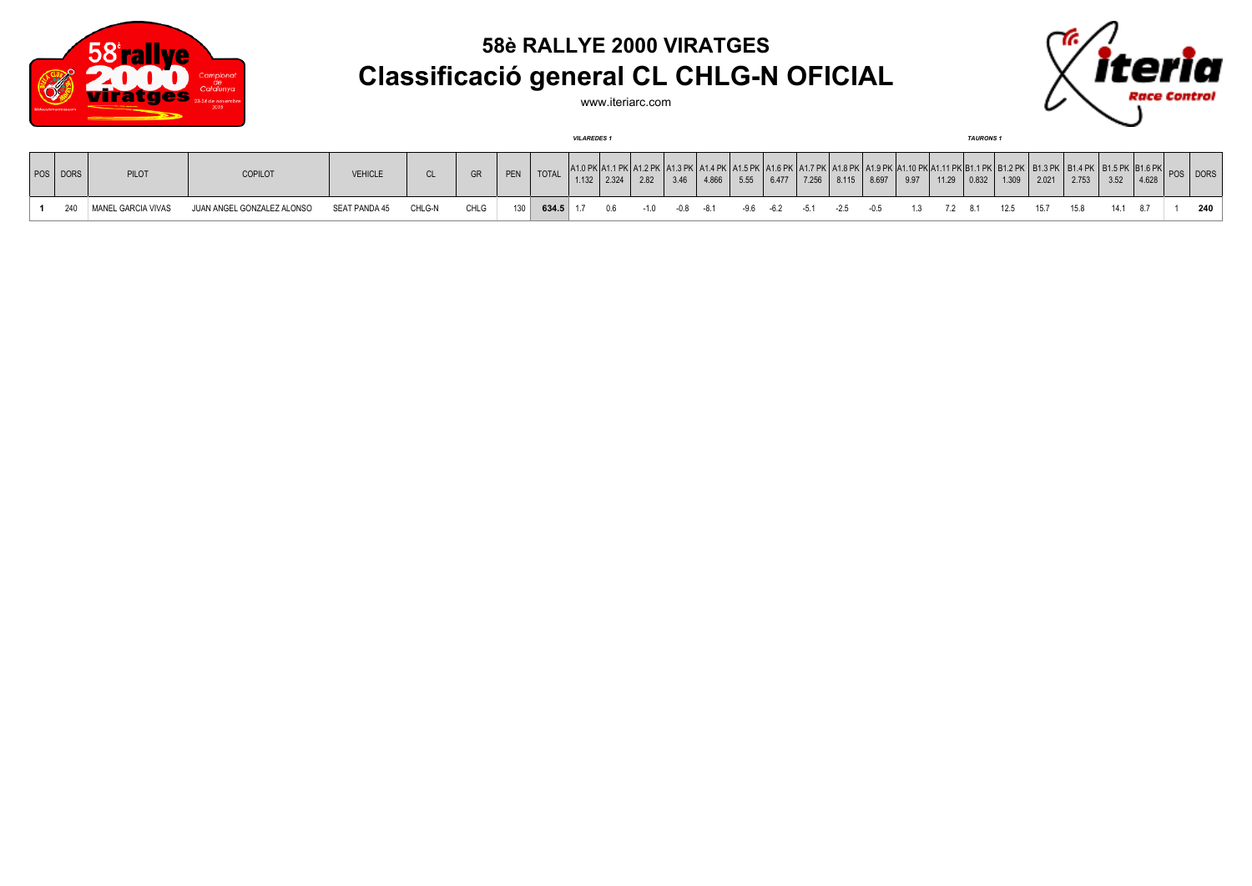

## **58è RALLYE 2000 VIRATGES Classificació general CL CHLG-N OFICIAL**



www.iteriarc.com

|          |                    |                            | <b>VILAREDES</b> 1 |        |      |     |              |       |       |       |         | <b>TAURONS</b> |      |       |       |                                    |       |      |         |  |                                 |      |                                                                                                                              |              |  |            |
|----------|--------------------|----------------------------|--------------------|--------|------|-----|--------------|-------|-------|-------|---------|----------------|------|-------|-------|------------------------------------|-------|------|---------|--|---------------------------------|------|------------------------------------------------------------------------------------------------------------------------------|--------------|--|------------|
| POS DORS | <b>PILOT</b>       | COPILOT                    | <b>VEHICLE</b>     | CL.    |      | PEN | <b>TOTAL</b> | 1.132 | 2.324 | 2.82  | 3.46    | 4.866          | 5.55 | 6.477 | 7.256 | 8.115                              | 8.697 | 9.97 | 11.29   |  | $\vert 0.832 \vert 1.309 \vert$ |      | . 1.6 PK   A1.7 PK   A1.8 PK   A1.9 PK  A1.10 PK A1.11 PK B1.1 PK  B1.2 PK   B1.3 PK   B1.4 PK   B1.5 PK  B1.6 PK <br> 2.753 | $3.52$ 4.628 |  | POS I DORS |
| 240      | MANEL GARCIA VIVAS | JUAN ANGEL GONZALEZ ALONSO | SEAT PANDA 45      | CHLG-N | CHLG | 130 | $634.5$ 1.7  |       | 0.6   | $-10$ | -08 -81 |                |      |       |       | $-9.6$ $-6.2$ $-5.1$ $-2.5$ $-0.5$ |       |      | 7.2 8.1 |  | 12.5                            | 15.7 | 15.8                                                                                                                         | 14.1         |  | 240        |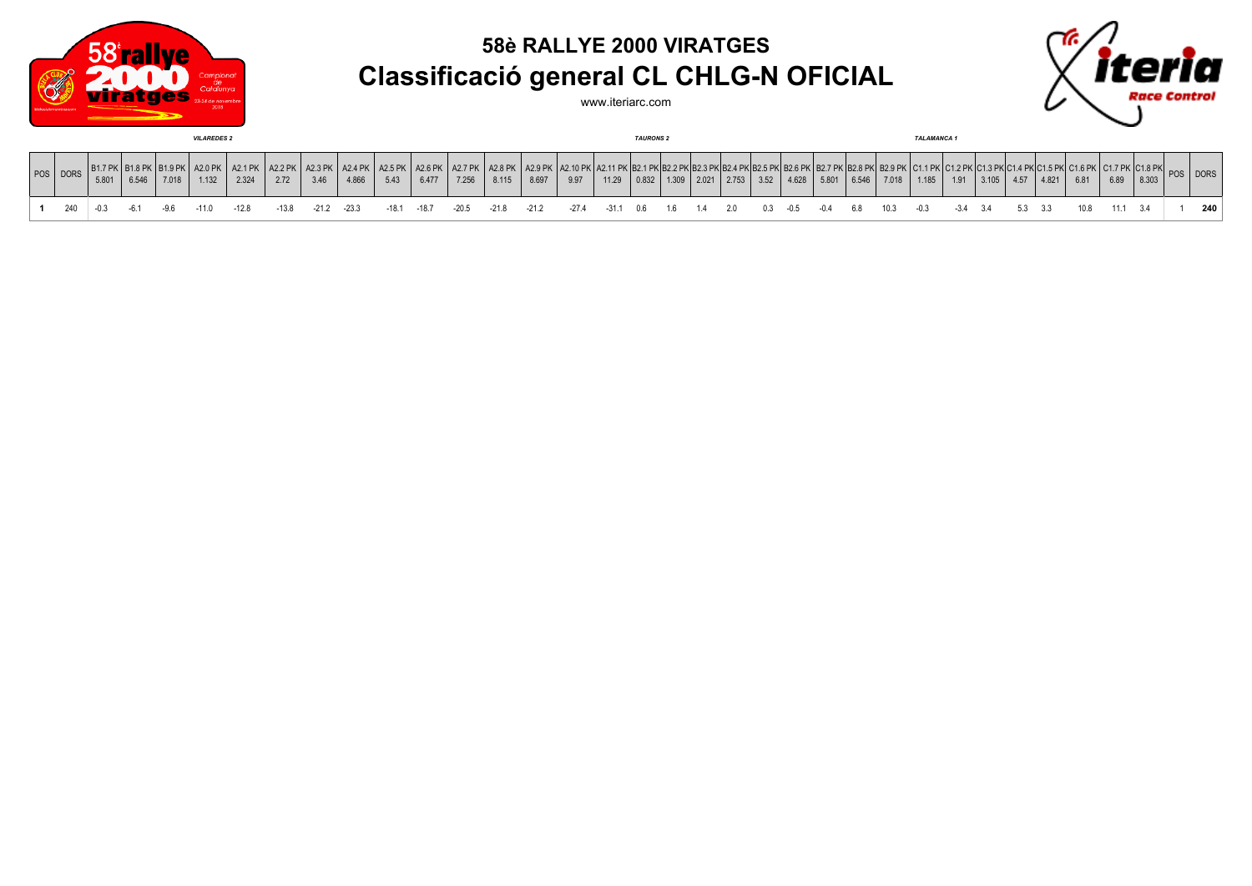

## **58è RALLYE 2000 VIRATGES Classificació general CL CHLG-N OFICIAL**

www.iteriarc.com



| <b>VILAREDES 2</b> |            |      |                      |       |                                                  |       |       |        |         |                 |                            | <b>TAURONS 2</b> |         |                            |                                    |         |    |     |                                       |  |             |       | <b>TALAMANCA 1</b> |                                                                               |                  |       |     |                    |      |  |                                                   |      |        |  |     |
|--------------------|------------|------|----------------------|-------|--------------------------------------------------|-------|-------|--------|---------|-----------------|----------------------------|------------------|---------|----------------------------|------------------------------------|---------|----|-----|---------------------------------------|--|-------------|-------|--------------------|-------------------------------------------------------------------------------|------------------|-------|-----|--------------------|------|--|---------------------------------------------------|------|--------|--|-----|
|                    | POS   DORS | 5.80 | 6516<br><b>0.040</b> | 7.018 | $\parallel$ B1.9 PK $\parallel$ A2.0 PK<br>1.132 | 2.324 | 2.72  | 3.46   | 4.866   | A2.5 PK<br>5.43 | A2.6 PK   A2.7 PK<br>6.477 | 7.256            | 8.115   | A2.8 PK   A2.9 PK<br>8.697 | K   A2.10 PK   A2.11 PK  B<br>9.97 | 11.29   |    |     | $\vert$ 0.832   1.309   2.021   2.753 |  | 3.52        | 4.628 | 5.801              | ו אם פניםו אם דנים ו אם גם ואם גם ואם אנים ואנים ואם כנים ואם כנים ו<br>6.546 | שם מפסו<br>7.018 | 1.185 | 101 | 3 105<br>$u$ . $u$ | 4.57 |  | $104.2$ BIZIO 4.4 BIZIO 4.5 BIZIO 4.6 BIZ<br>6.81 | 6.89 | 18.303 |  |     |
|                    |            |      |                      |       |                                                  | -12.8 | -13.8 | $-212$ | $-23.3$ | $-18.1$         | -18.7                      | $-20.5$          | $-21.8$ | $-21.2$                    | -27.4                              | $-31.1$ | 06 | 1.6 | 14                                    |  | $0.3 - 0.5$ |       |                    |                                                                               | 10.3             |       |     |                    |      |  |                                                   |      |        |  | 240 |